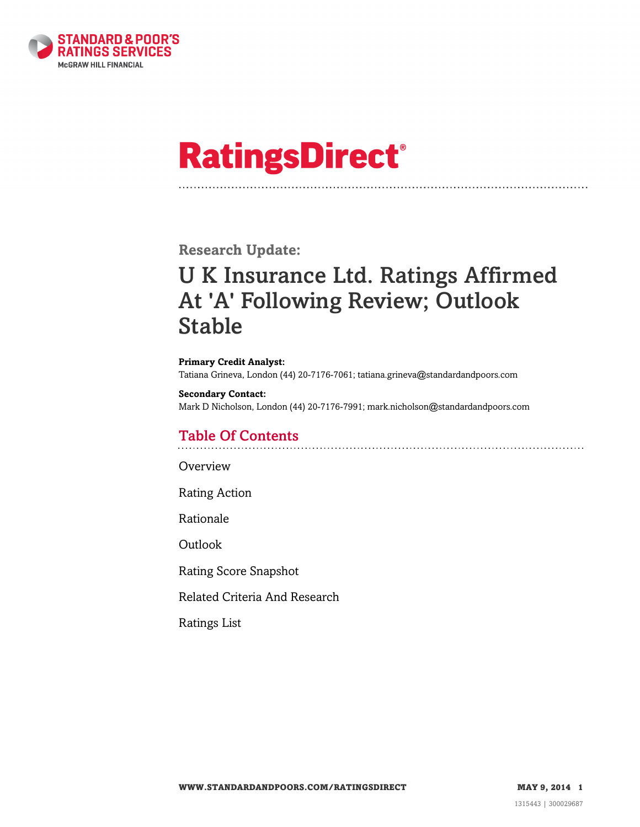

# **RatingsDirect®**

**Research Update:**

# U K Insurance Ltd. Ratings Affirmed At 'A' Following Review; Outlook Stable

**Primary Credit Analyst:** Tatiana Grineva, London (44) 20-7176-7061; tatiana.grineva@standardandpoors.com

**Secondary Contact:** Mark D Nicholson, London (44) 20-7176-7991; mark.nicholson@standardandpoors.com

# Table Of Contents

**[Overview](#page-1-0)** 

[Rating Action](#page-1-1)

[Rationale](#page-1-2)

[Outlook](#page-2-0)

[Rating Score Snapshot](#page-3-0)

[Related Criteria And Research](#page-3-1)

[Ratings List](#page-4-0)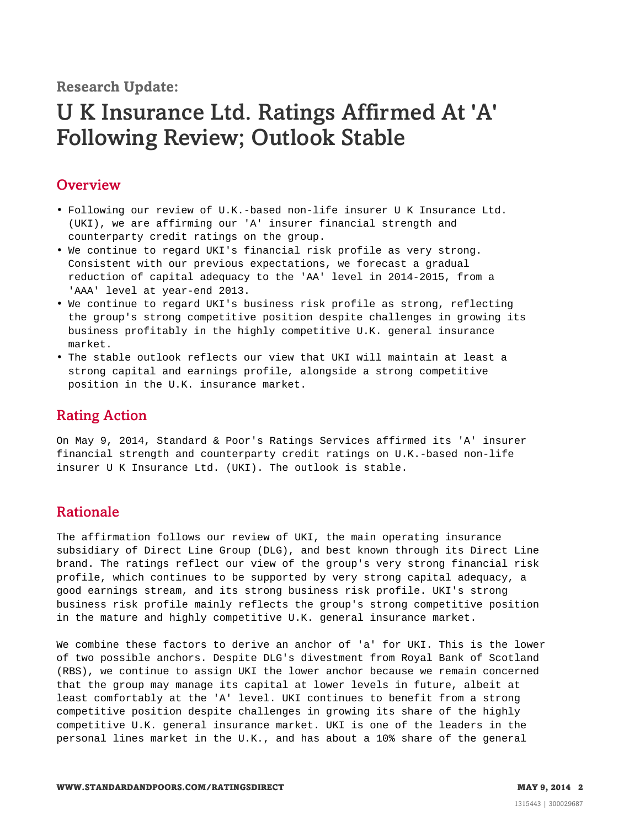**Research Update:**

# U K Insurance Ltd. Ratings Affirmed At 'A' Following Review; Outlook Stable

## <span id="page-1-0"></span>**Overview**

- Following our review of U.K.-based non-life insurer U K Insurance Ltd. (UKI), we are affirming our 'A' insurer financial strength and counterparty credit ratings on the group.
- We continue to regard UKI's financial risk profile as very strong. Consistent with our previous expectations, we forecast a gradual reduction of capital adequacy to the 'AA' level in 2014-2015, from a 'AAA' level at year-end 2013.
- We continue to regard UKI's business risk profile as strong, reflecting the group's strong competitive position despite challenges in growing its business profitably in the highly competitive U.K. general insurance market.
- The stable outlook reflects our view that UKI will maintain at least a strong capital and earnings profile, alongside a strong competitive position in the U.K. insurance market.

# <span id="page-1-1"></span>Rating Action

On May 9, 2014, Standard & Poor's Ratings Services affirmed its 'A' insurer financial strength and counterparty credit ratings on U.K.-based non-life insurer U K Insurance Ltd. (UKI). The outlook is stable.

# <span id="page-1-2"></span>Rationale

The affirmation follows our review of UKI, the main operating insurance subsidiary of Direct Line Group (DLG), and best known through its Direct Line brand. The ratings reflect our view of the group's very strong financial risk profile, which continues to be supported by very strong capital adequacy, a good earnings stream, and its strong business risk profile. UKI's strong business risk profile mainly reflects the group's strong competitive position in the mature and highly competitive U.K. general insurance market.

We combine these factors to derive an anchor of 'a' for UKI. This is the lower of two possible anchors. Despite DLG's divestment from Royal Bank of Scotland (RBS), we continue to assign UKI the lower anchor because we remain concerned that the group may manage its capital at lower levels in future, albeit at least comfortably at the 'A' level. UKI continues to benefit from a strong competitive position despite challenges in growing its share of the highly competitive U.K. general insurance market. UKI is one of the leaders in the personal lines market in the U.K., and has about a 10% share of the general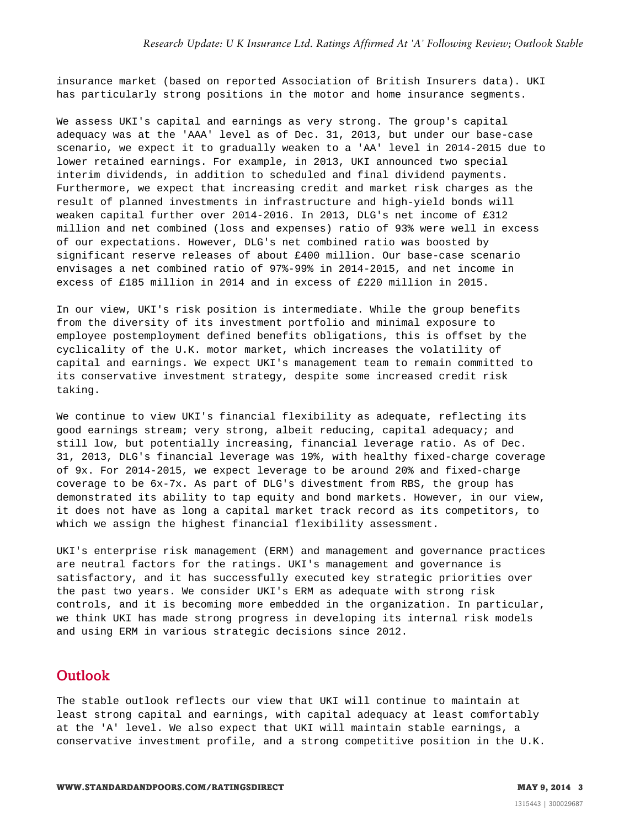insurance market (based on reported Association of British Insurers data). UKI has particularly strong positions in the motor and home insurance segments.

We assess UKI's capital and earnings as very strong. The group's capital adequacy was at the 'AAA' level as of Dec. 31, 2013, but under our base-case scenario, we expect it to gradually weaken to a 'AA' level in 2014-2015 due to lower retained earnings. For example, in 2013, UKI announced two special interim dividends, in addition to scheduled and final dividend payments. Furthermore, we expect that increasing credit and market risk charges as the result of planned investments in infrastructure and high-yield bonds will weaken capital further over 2014-2016. In 2013, DLG's net income of £312 million and net combined (loss and expenses) ratio of 93% were well in excess of our expectations. However, DLG's net combined ratio was boosted by significant reserve releases of about £400 million. Our base-case scenario envisages a net combined ratio of 97%-99% in 2014-2015, and net income in excess of £185 million in 2014 and in excess of £220 million in 2015.

In our view, UKI's risk position is intermediate. While the group benefits from the diversity of its investment portfolio and minimal exposure to employee postemployment defined benefits obligations, this is offset by the cyclicality of the U.K. motor market, which increases the volatility of capital and earnings. We expect UKI's management team to remain committed to its conservative investment strategy, despite some increased credit risk taking.

We continue to view UKI's financial flexibility as adequate, reflecting its good earnings stream; very strong, albeit reducing, capital adequacy; and still low, but potentially increasing, financial leverage ratio. As of Dec. 31, 2013, DLG's financial leverage was 19%, with healthy fixed-charge coverage of 9x. For 2014-2015, we expect leverage to be around 20% and fixed-charge coverage to be 6x-7x. As part of DLG's divestment from RBS, the group has demonstrated its ability to tap equity and bond markets. However, in our view, it does not have as long a capital market track record as its competitors, to which we assign the highest financial flexibility assessment.

UKI's enterprise risk management (ERM) and management and governance practices are neutral factors for the ratings. UKI's management and governance is satisfactory, and it has successfully executed key strategic priorities over the past two years. We consider UKI's ERM as adequate with strong risk controls, and it is becoming more embedded in the organization. In particular, we think UKI has made strong progress in developing its internal risk models and using ERM in various strategic decisions since 2012.

### <span id="page-2-0"></span>**Outlook**

The stable outlook reflects our view that UKI will continue to maintain at least strong capital and earnings, with capital adequacy at least comfortably at the 'A' level. We also expect that UKI will maintain stable earnings, a conservative investment profile, and a strong competitive position in the U.K.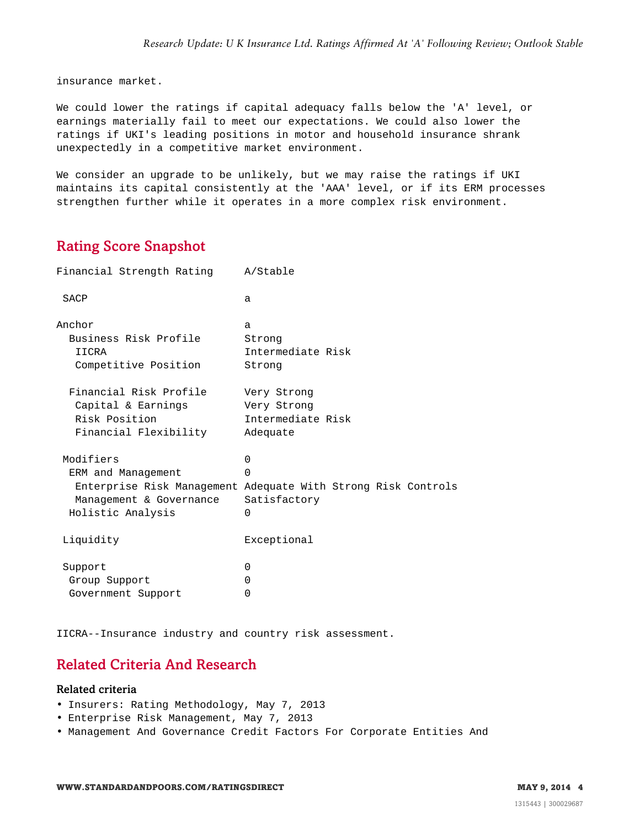insurance market.

We could lower the ratings if capital adequacy falls below the 'A' level, or earnings materially fail to meet our expectations. We could also lower the ratings if UKI's leading positions in motor and household insurance shrank unexpectedly in a competitive market environment.

We consider an upgrade to be unlikely, but we may raise the ratings if UKI maintains its capital consistently at the 'AAA' level, or if its ERM processes strengthen further while it operates in a more complex risk environment.

# <span id="page-3-0"></span>Rating Score Snapshot

| Financial Strength Rating                                                              | A/Stable                                                                                                          |
|----------------------------------------------------------------------------------------|-------------------------------------------------------------------------------------------------------------------|
| SACP                                                                                   | a                                                                                                                 |
| Anchor<br>Business Risk Profile<br>IICRA<br>Competitive Position                       | $\mathsf{a}$<br>Strong<br>Intermediate Risk<br>Strong                                                             |
| Financial Risk Profile<br>Capital & Earnings<br>Risk Position<br>Financial Flexibility | Very Strong<br>Very Strong<br>Intermediate Risk<br>Adequate                                                       |
| Modifiers<br>ERM and Management<br>Management & Governance<br>Holistic Analysis        | $\Omega$<br>$\Omega$<br>Enterprise Risk Management Adequate With Strong Risk Controls<br>Satisfactory<br>$\Omega$ |
| Liquidity                                                                              | Exceptional                                                                                                       |
| Support<br>Group Support<br>Government Support                                         | $\Omega$<br>0<br>0                                                                                                |

<span id="page-3-1"></span>IICRA--Insurance industry and country risk assessment.

# Related Criteria And Research

#### Related criteria

- Insurers: Rating Methodology, May 7, 2013
- Enterprise Risk Management, May 7, 2013
- Management And Governance Credit Factors For Corporate Entities And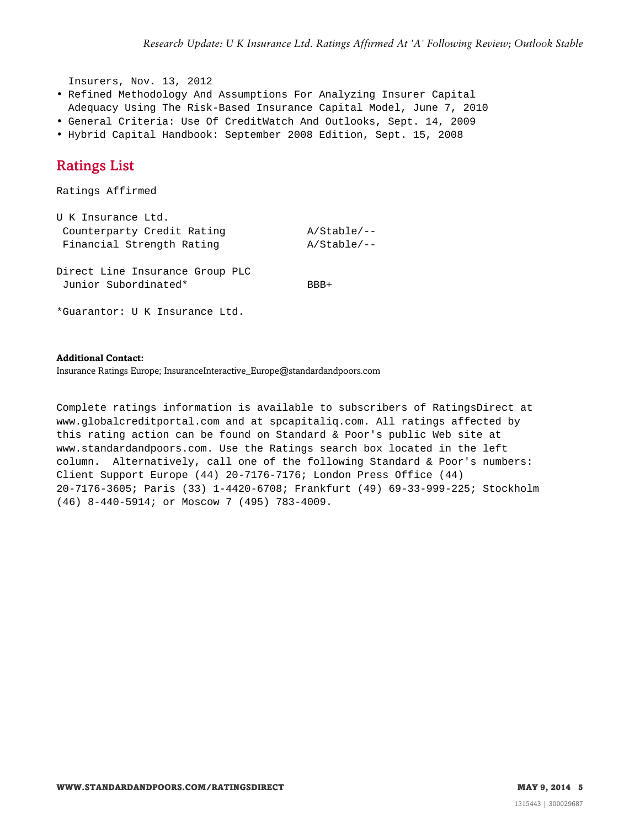Insurers, Nov. 13, 2012

- Refined Methodology And Assumptions For Analyzing Insurer Capital
- Adequacy Using The Risk-Based Insurance Capital Model, June 7, 2010
- General Criteria: Use Of CreditWatch And Outlooks, Sept. 14, 2009
- <span id="page-4-0"></span>• Hybrid Capital Handbook: September 2008 Edition, Sept. 15, 2008

# Ratings List

Ratings Affirmed

| U K Insurance Ltd.                                      |               |
|---------------------------------------------------------|---------------|
| Counterparty Credit Rating                              | $A/Stable/--$ |
| Financial Strength Rating                               | $A/Stable/--$ |
| Direct Line Insurance Group PLC<br>Junior Subordinated* | BBB+          |
| *Guarantor: U K Insurance Ltd.                          |               |

#### **Additional Contact:**

Insurance Ratings Europe; InsuranceInteractive\_Europe@standardandpoors.com

Complete ratings information is available to subscribers of RatingsDirect at www.globalcreditportal.com and at spcapitaliq.com. All ratings affected by this rating action can be found on Standard & Poor's public Web site at www.standardandpoors.com. Use the Ratings search box located in the left column. Alternatively, call one of the following Standard & Poor's numbers: Client Support Europe (44) 20-7176-7176; London Press Office (44) 20-7176-3605; Paris (33) 1-4420-6708; Frankfurt (49) 69-33-999-225; Stockholm (46) 8-440-5914; or Moscow 7 (495) 783-4009.